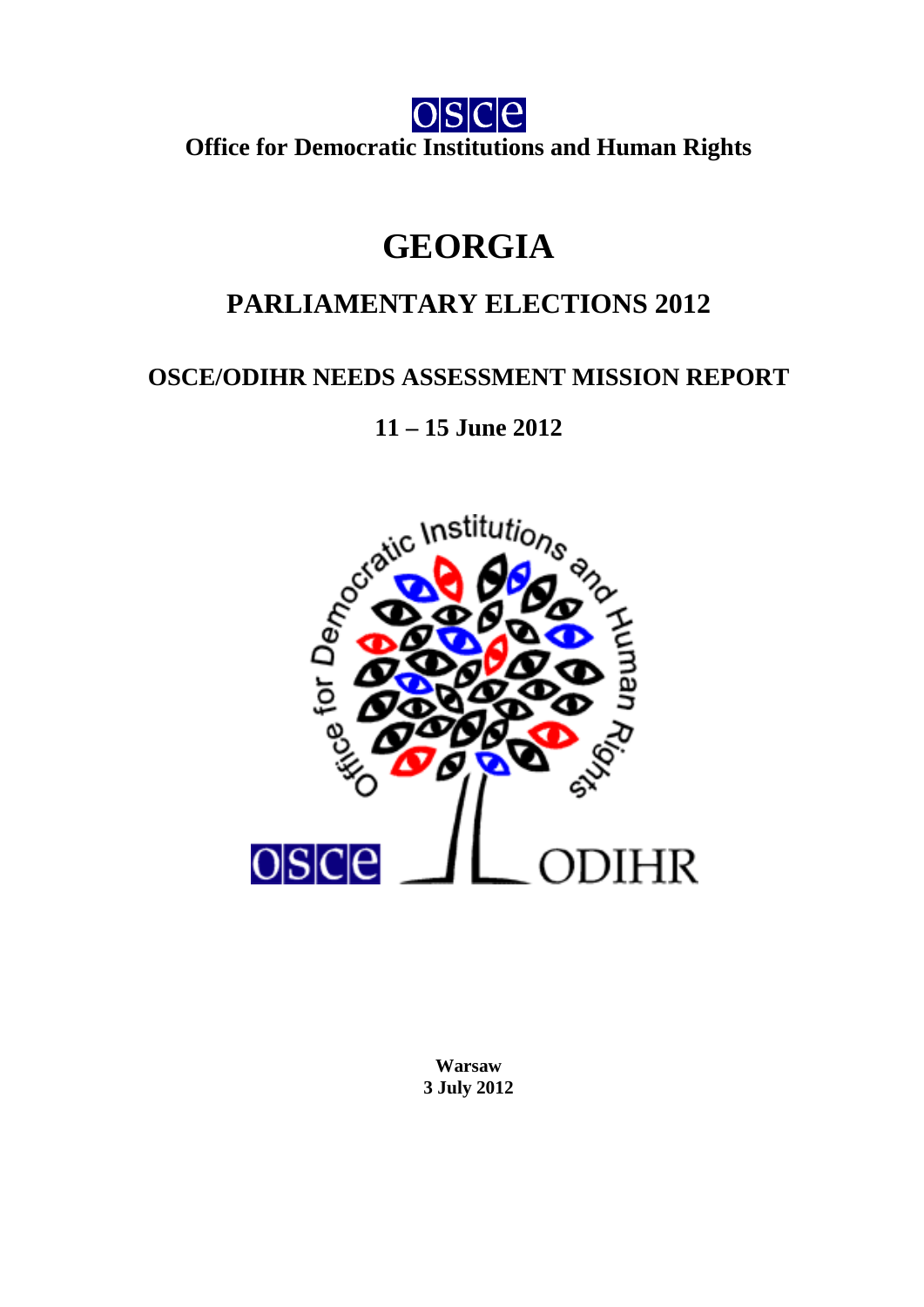

**Office for Democratic Institutions and Human Rights** 

# **GEORGIA**

# **PARLIAMENTARY ELECTIONS 2012**

# **OSCE/ODIHR NEEDS ASSESSMENT MISSION REPORT**

**11 – 15 June 2012** 



<span id="page-0-0"></span>**Warsaw 3 July 2012**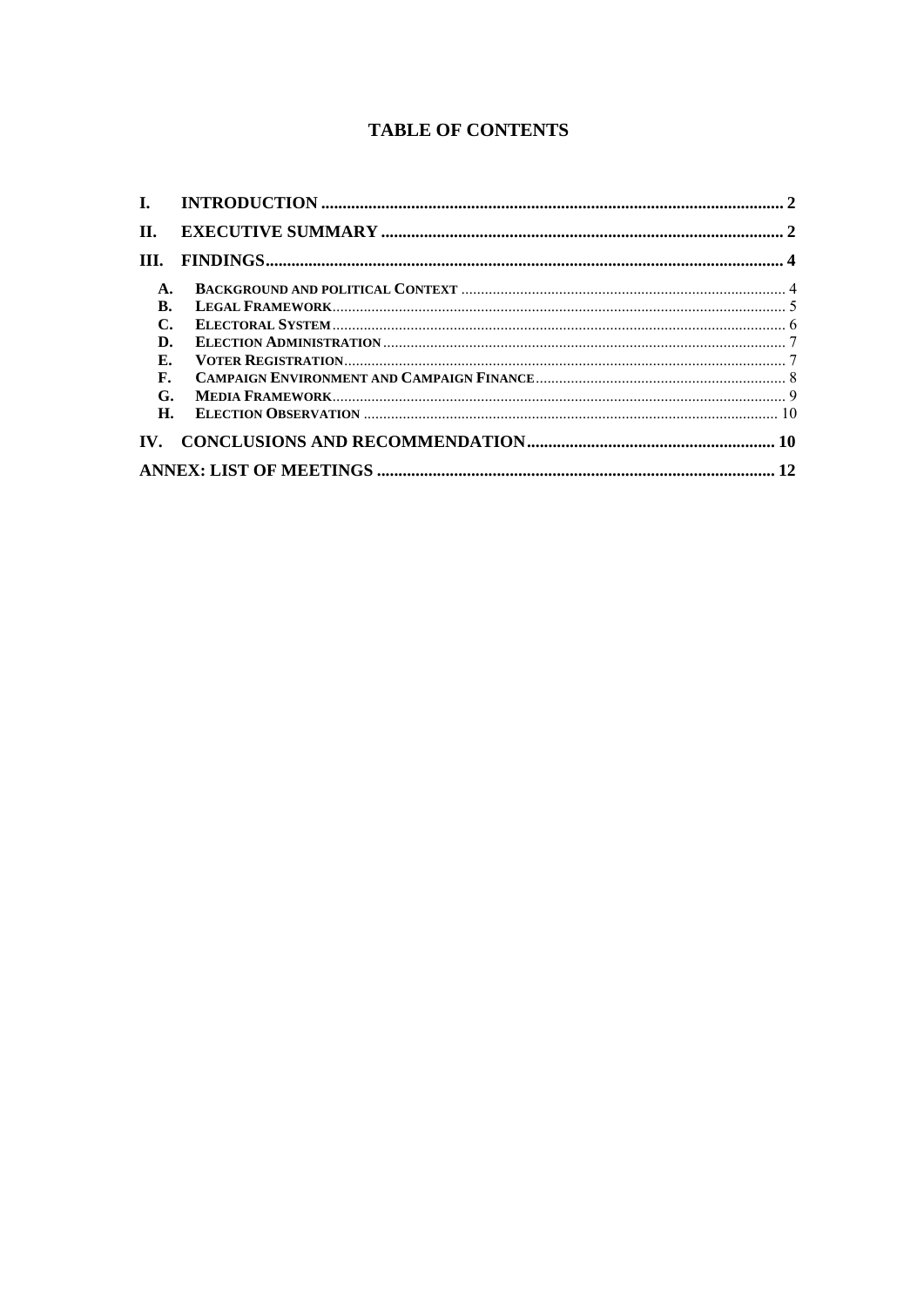# **TABLE OF CONTENTS**

| П.  |  |
|-----|--|
| TH. |  |
| A.  |  |
| B.  |  |
| C.  |  |
| D.  |  |
| Е.  |  |
| F.  |  |
| G.  |  |
| H.  |  |
|     |  |
|     |  |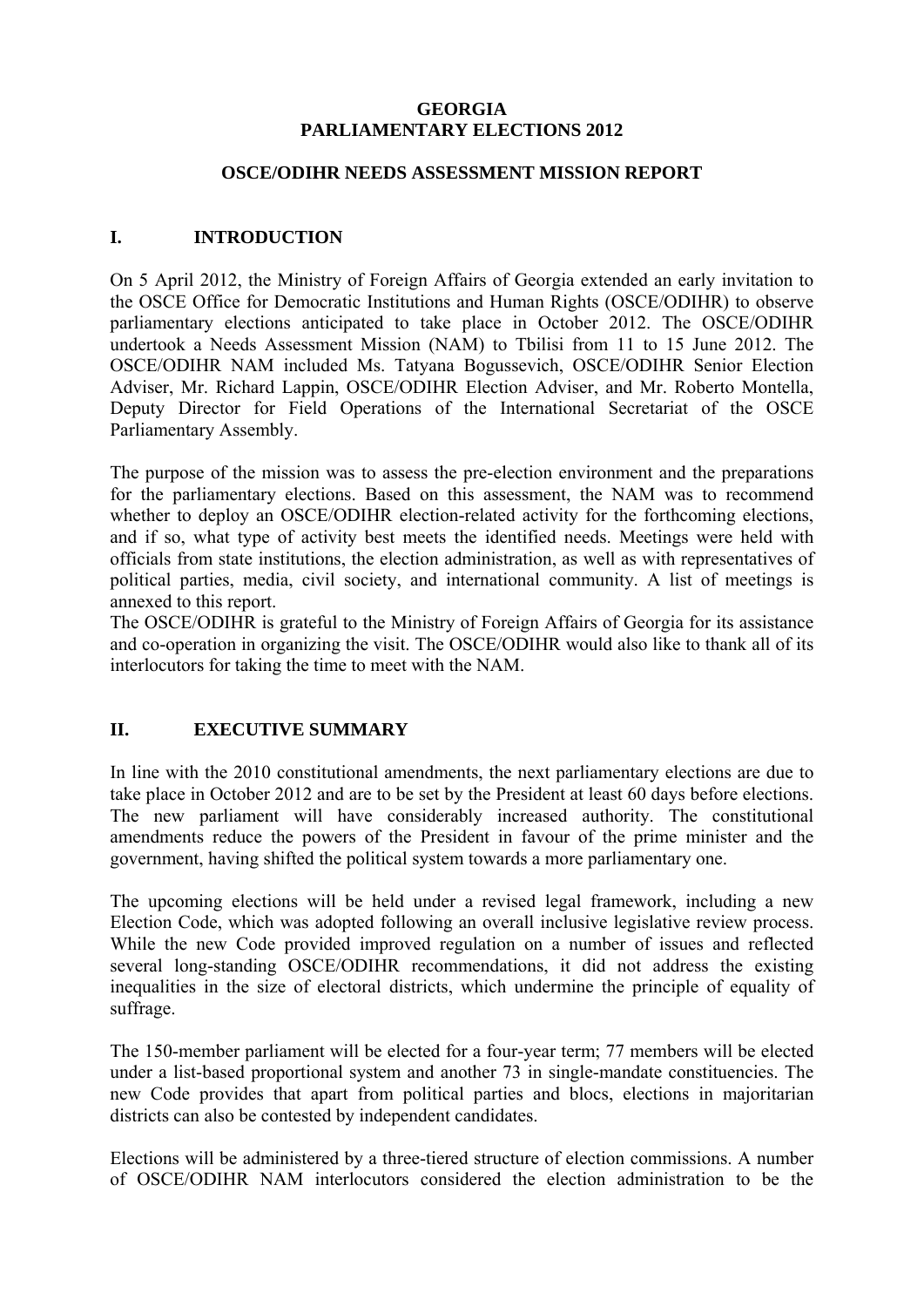### **GEORGIA PARLIAMENTARY ELECTIONS 2012**

#### **OSCE/ODIHR NEEDS ASSESSMENT MISSION REPORT**

# <span id="page-2-0"></span>**I. INTRODUCTION**

On 5 April 2012, the Ministry of Foreign Affairs of Georgia extended an early invitation to the OSCE Office for Democratic Institutions and Human Rights (OSCE/ODIHR) to observe parliamentary elections anticipated to take place in October 2012. The OSCE/ODIHR undertook a Needs Assessment Mission (NAM) to Tbilisi from 11 to 15 June 2012. The OSCE/ODIHR NАМ included Ms. Tatyana Bogussevich, OSCE/ODIHR Senior Election Adviser, Mr. Richard Lappin, OSCE/ODIHR Election Adviser, and Mr. Roberto Montella, Deputy Director for Field Operations of the International Secretariat of the OSCE Parliamentary Assembly.

The purpose of the mission was to assess the pre-election environment and the preparations for the parliamentary elections. Based on this assessment, the NAM was to recommend whether to deploy an OSCE/ODIHR election-related activity for the forthcoming elections, and if so, what type of activity best meets the identified needs. Meetings were held with officials from state institutions, the election administration, as well as with representatives of political parties, media, civil society, and international community. A list of meetings is annexed to this report.

The OSCE/ODIHR is grateful to the Ministry of Foreign Affairs of Georgia for its assistance and co-operation in organizing the visit. The OSCE/ODIHR would also like to thank all of its interlocutors for taking the time to meet with the NAM.

# <span id="page-2-1"></span>**II. EXECUTIVE SUMMARY**

In line with the 2010 constitutional amendments, the next parliamentary elections are due to take place in October 2012 and are to be set by the President at least 60 days before elections. The new parliament will have considerably increased authority. The constitutional amendments reduce the powers of the President in favour of the prime minister and the government, having shifted the political system towards a more parliamentary one.

The upcoming elections will be held under a revised legal framework, including a new Election Code, which was adopted following an overall inclusive legislative review process. While the new Code provided improved regulation on a number of issues and reflected several long-standing OSCE/ODIHR recommendations, it did not address the existing inequalities in the size of electoral districts, which undermine the principle of equality of suffrage.

The 150-member parliament will be elected for a four-year term; 77 members will be elected under a list-based proportional system and another 73 in single-mandate constituencies. The new Code provides that apart from political parties and blocs, elections in majoritarian districts can also be contested by independent candidates.

Elections will be administered by a three-tiered structure of election commissions. A number of OSCE/ODIHR NAM interlocutors considered the election administration to be the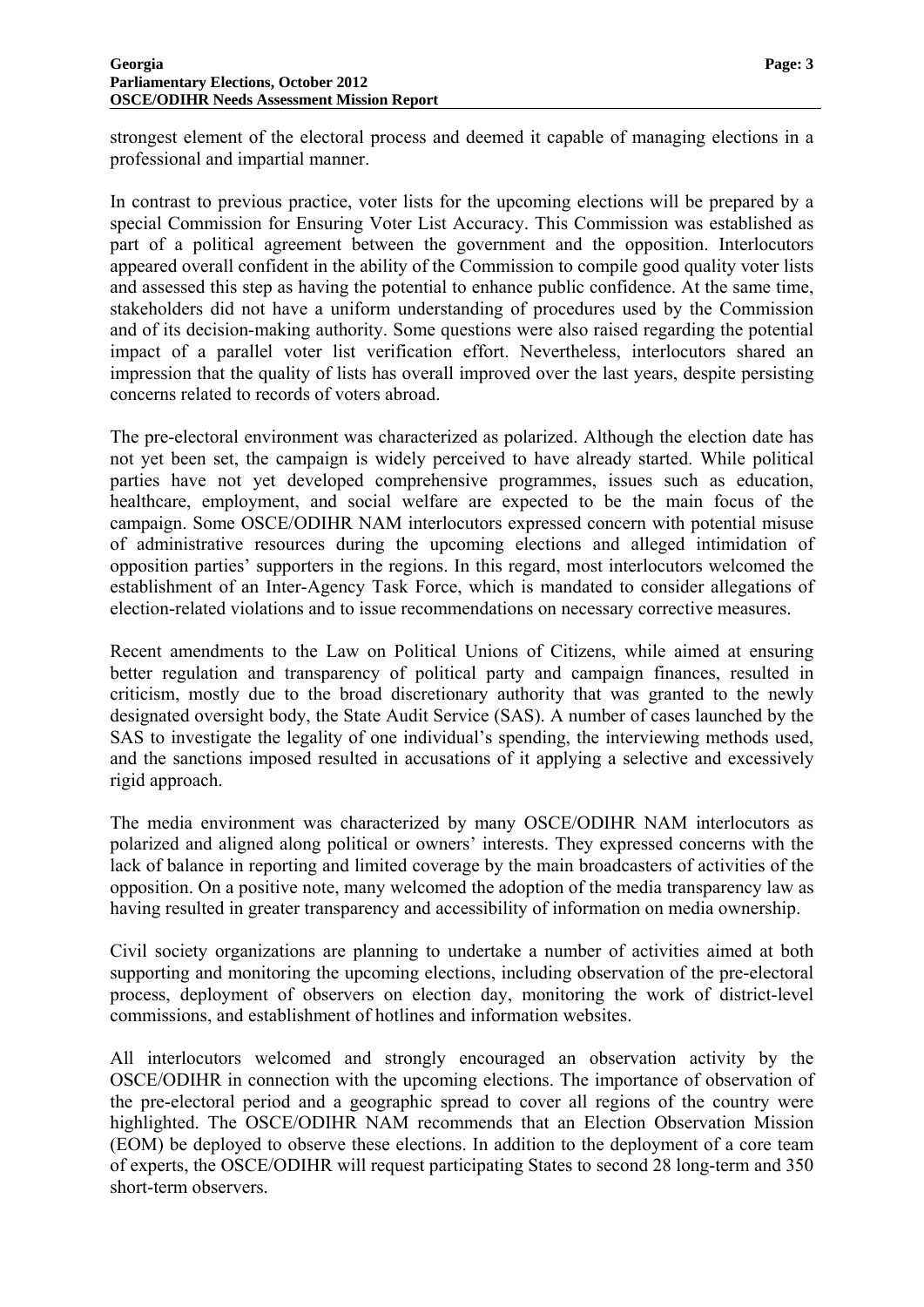strongest element of the electoral process and deemed it capable of managing elections in a professional and impartial manner.

In contrast to previous practice, voter lists for the upcoming elections will be prepared by a special Commission for Ensuring Voter List Accuracy. This Commission was established as part of a political agreement between the government and the opposition. Interlocutors appeared overall confident in the ability of the Commission to compile good quality voter lists and assessed this step as having the potential to enhance public confidence. At the same time, stakeholders did not have a uniform understanding of procedures used by the Commission and of its decision-making authority. Some questions were also raised regarding the potential impact of a parallel voter list verification effort. Nevertheless, interlocutors shared an impression that the quality of lists has overall improved over the last years, despite persisting concerns related to records of voters abroad.

The pre-electoral environment was characterized as polarized. Although the election date has not yet been set, the campaign is widely perceived to have already started. While political parties have not yet developed comprehensive programmes, issues such as education, healthcare, employment, and social welfare are expected to be the main focus of the campaign. Some OSCE/ODIHR NAM interlocutors expressed concern with potential misuse of administrative resources during the upcoming elections and alleged intimidation of opposition parties' supporters in the regions. In this regard, most interlocutors welcomed the establishment of an Inter-Agency Task Force, which is mandated to consider allegations of election-related violations and to issue recommendations on necessary corrective measures.

Recent amendments to the Law on Political Unions of Citizens, while aimed at ensuring better regulation and transparency of political party and campaign finances, resulted in criticism, mostly due to the broad discretionary authority that was granted to the newly designated oversight body, the State Audit Service (SAS). A number of cases launched by the SAS to investigate the legality of one individual's spending, the interviewing methods used, and the sanctions imposed resulted in accusations of it applying a selective and excessively rigid approach.

The media environment was characterized by many OSCE/ODIHR NAM interlocutors as polarized and aligned along political or owners' interests. They expressed concerns with the lack of balance in reporting and limited coverage by the main broadcasters of activities of the opposition. On a positive note, many welcomed the adoption of the media transparency law as having resulted in greater transparency and accessibility of information on media ownership.

Civil society organizations are planning to undertake a number of activities aimed at both supporting and monitoring the upcoming elections, including observation of the pre-electoral process, deployment of observers on election day, monitoring the work of district-level commissions, and establishment of hotlines and information websites.

All interlocutors welcomed and strongly encouraged an observation activity by the OSCE/ODIHR in connection with the upcoming elections. The importance of observation of the pre-electoral period and a geographic spread to cover all regions of the country were highlighted. The OSCE/ODIHR NAM recommends that an Election Observation Mission (EOM) be deployed to observe these elections. In addition to the deployment of a core team of experts, the OSCE/ODIHR will request participating States to second 28 long-term and 350 short-term observers.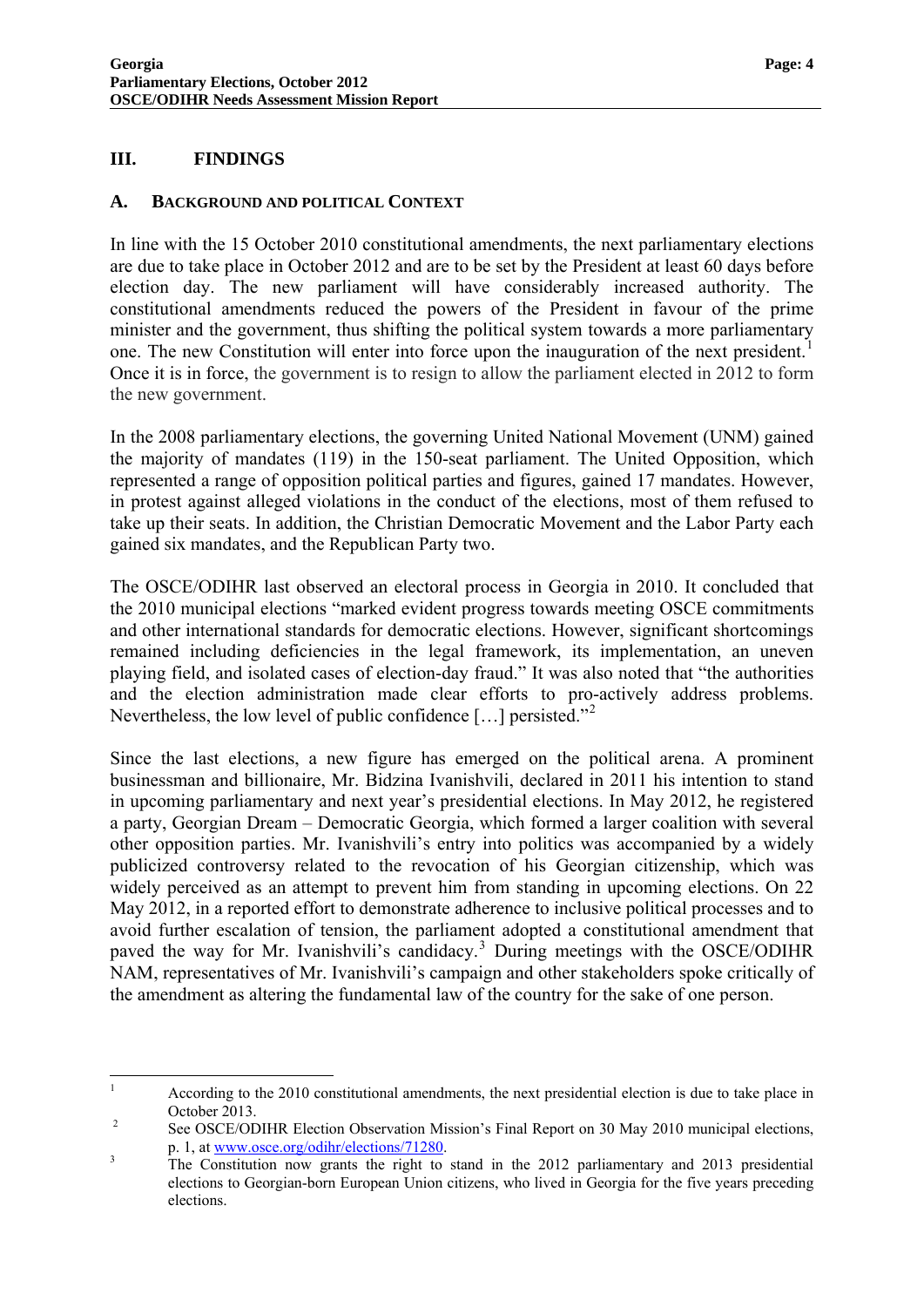#### <span id="page-4-0"></span>**III. FINDINGS**

#### <span id="page-4-1"></span>**A. BACKGROUND AND POLITICAL CONTEXT**

In line with the 15 October 2010 constitutional amendments, the next parliamentary elections are due to take place in October 2012 and are to be set by the President at least 60 days before election day. The new parliament will have considerably increased authority. The constitutional amendments reduced the powers of the President in favour of the prime minister and the government, thus shifting the political system towards a more parliamentary one. The new Constitution will enter into force upon the inauguration of the next president.<sup>[1](#page-0-0)</sup> Once it is in force, the government is to resign to allow the parliament elected in 2012 to form the new government.

In the 2008 parliamentary elections, the governing United National Movement (UNM) gained the majority of mandates (119) in the 150-seat parliament. The United Opposition, which represented a range of opposition political parties and figures, gained 17 mandates. However, in protest against alleged violations in the conduct of the elections, most of them refused to take up their seats. In addition, the Christian Democratic Movement and the Labor Party each gained six mandates, and the Republican Party two.

The OSCE/ODIHR last observed an electoral process in Georgia in 2010. It concluded that the 2010 municipal elections "marked evident progress towards meeting OSCE commitments and other international standards for democratic elections. However, significant shortcomings remained including deficiencies in the legal framework, its implementation, an uneven playing field, and isolated cases of election-day fraud." It was also noted that "the authorities and the election administration made clear efforts to pro-actively address problems. Nevertheless, the low level of public confidence  $[\dots]$  persisted."<sup>[2](#page-4-2)</sup>

Since the last elections, a new figure has emerged on the political arena. A prominent businessman and billionaire, Mr. Bidzina Ivanishvili, declared in 2011 his intention to stand in upcoming parliamentary and next year's presidential elections. In May 2012, he registered a party, Georgian Dream – Democratic Georgia, which formed a larger coalition with several other opposition parties. Mr. Ivanishvili's entry into politics was accompanied by a widely publicized controversy related to the revocation of his Georgian citizenship, which was widely perceived as an attempt to prevent him from standing in upcoming elections. On 22 May 2012, in a reported effort to demonstrate adherence to inclusive political processes and to avoid further escalation of tension, the parliament adopted a constitutional amendment that paved the way for Mr. Ivanishvili's candidacy.<sup>[3](#page-4-3)</sup> During meetings with the OSCE/ODIHR NAM, representatives of Mr. Ivanishvili's campaign and other stakeholders spoke critically of the amendment as altering the fundamental law of the country for the sake of one person.

<span id="page-4-4"></span> $\frac{1}{1}$  According to the 2010 constitutional amendments, the next presidential election is due to take place in October 2013.

<span id="page-4-2"></span>See OSCE/ODIHR Election Observation Mission's Final Report on 30 May 2010 municipal elections, p. 1, at www.osce.org/odihr/elections/71280.

<span id="page-4-3"></span>The Constitution now grants the right to stand in the 2012 parliamentary and 2013 presidential elections to Georgian-born European Union citizens, who lived in Georgia for the five years preceding elections.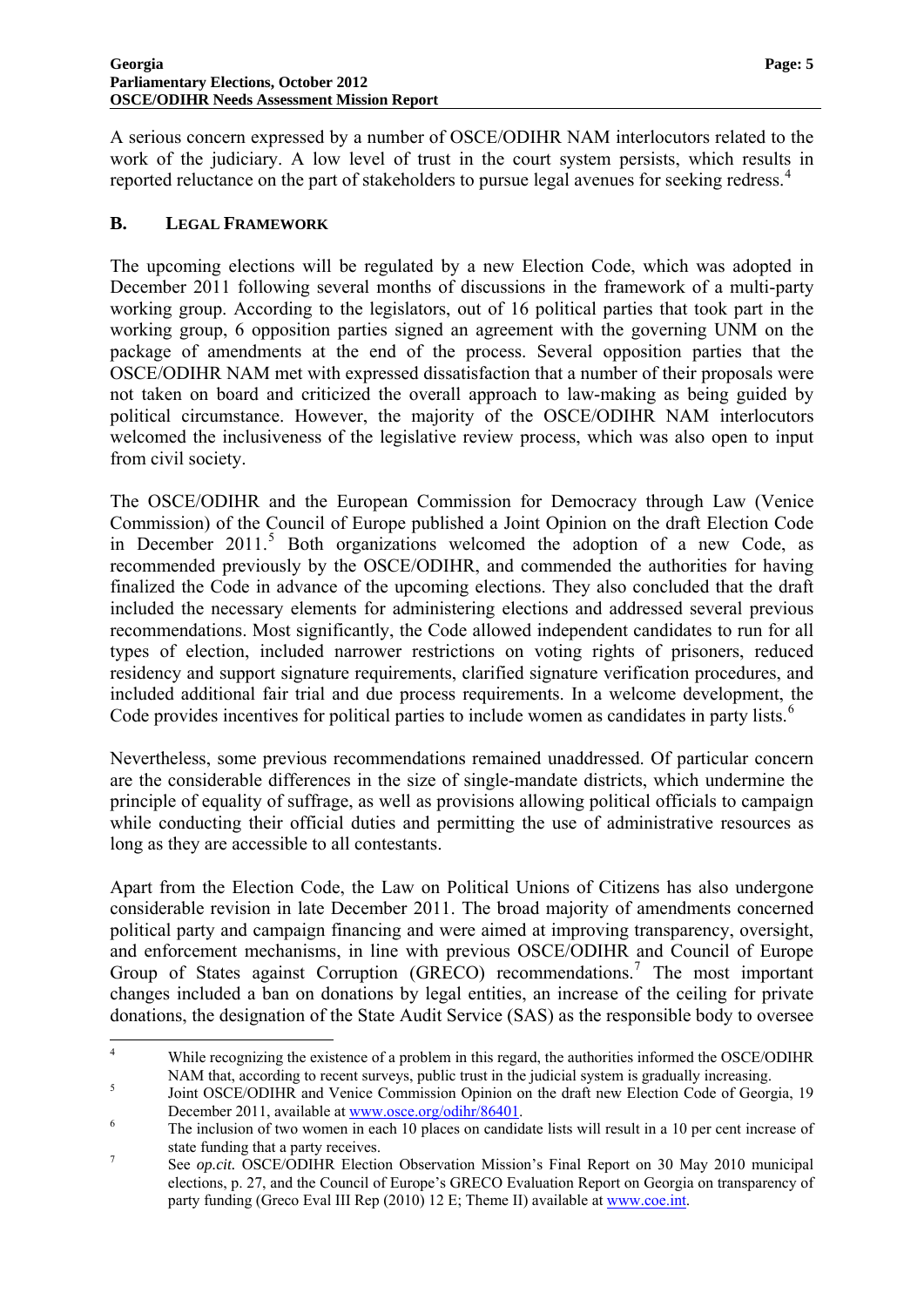A serious concern expressed by a number of OSCE/ODIHR NAM interlocutors related to the work of the judiciary. A low level of trust in the court system persists, which results in reported reluctance on the part of stakeholders to pursue legal avenues for seeking redress.<sup>[4](#page-4-4)</sup>

#### <span id="page-5-0"></span>**B. LEGAL FRAMEWORK**

The upcoming elections will be regulated by a new Election Code, which was adopted in December 2011 following several months of discussions in the framework of a multi-party working group. According to the legislators, out of 16 political parties that took part in the working group, 6 opposition parties signed an agreement with the governing UNM on the package of amendments at the end of the process. Several opposition parties that the OSCE/ODIHR NAM met with expressed dissatisfaction that a number of their proposals were not taken on board and criticized the overall approach to law-making as being guided by political circumstance. However, the majority of the OSCE/ODIHR NAM interlocutors welcomed the inclusiveness of the legislative review process, which was also open to input from civil society.

The OSCE/ODIHR and the European Commission for Democracy through Law (Venice Commission) of the Council of Europe published a Joint Opinion on the draft Election Code in December 2011.<sup>[5](#page-5-1)</sup> Both organizations welcomed the adoption of a new Code, as recommended previously by the OSCE/ODIHR, and commended the authorities for having finalized the Code in advance of the upcoming elections. They also concluded that the draft included the necessary elements for administering elections and addressed several previous recommendations. Most significantly, the Code allowed independent candidates to run for all types of election, included narrower restrictions on voting rights of prisoners, reduced residency and support signature requirements, clarified signature verification procedures, and included additional fair trial and due process requirements. In a welcome development, the Code provides incentives for political parties to include women as candidates in party lists.<sup>[6](#page-5-2)</sup>

Nevertheless, some previous recommendations remained unaddressed. Of particular concern are the considerable differences in the size of single-mandate districts, which undermine the principle of equality of suffrage, as well as provisions allowing political officials to campaign while conducting their official duties and permitting the use of administrative resources as long as they are accessible to all contestants.

Apart from the Election Code, the Law on Political Unions of Citizens has also undergone considerable revision in late December 2011. The broad majority of amendments concerned political party and campaign financing and were aimed at improving transparency, oversight, and enforcement mechanisms, in line with previous OSCE/ODIHR and Council of Europe Group of States against Corruption (GRECO) recommendations.<sup>[7](#page-5-3)</sup> The most important changes included a ban on donations by legal entities, an increase of the ceiling for private donations, the designation of the State Audit Service (SAS) as the responsible body to oversee

<span id="page-5-4"></span> $\frac{1}{4}$  While recognizing the existence of a problem in this regard, the authorities informed the OSCE/ODIHR NAM that, according to recent surveys, public trust in the judicial system is gradually increasing.

<span id="page-5-1"></span>Joint OSCE/ODIHR and Venice Commission Opinion on the draft new Election Code of Georgia, 19 December 2011, available at  $\frac{www\cdot\csc.org/\text{odihr}/86401}{m}$ .

<span id="page-5-2"></span>The inclusion of two women in each 10 places on candidate lists will result in a 10 per cent increase of state funding that a party receives.

<span id="page-5-3"></span>See *op.cit.* OSCE/ODIHR Election Observation Mission's Final Report on 30 May 2010 municipal elections, p. 27, and the Council of Europe's GRECO Evaluation Report on Georgia on transparency of party funding (Greco Eval III Rep (2010) 12 E; Theme II) available at www.coe.int.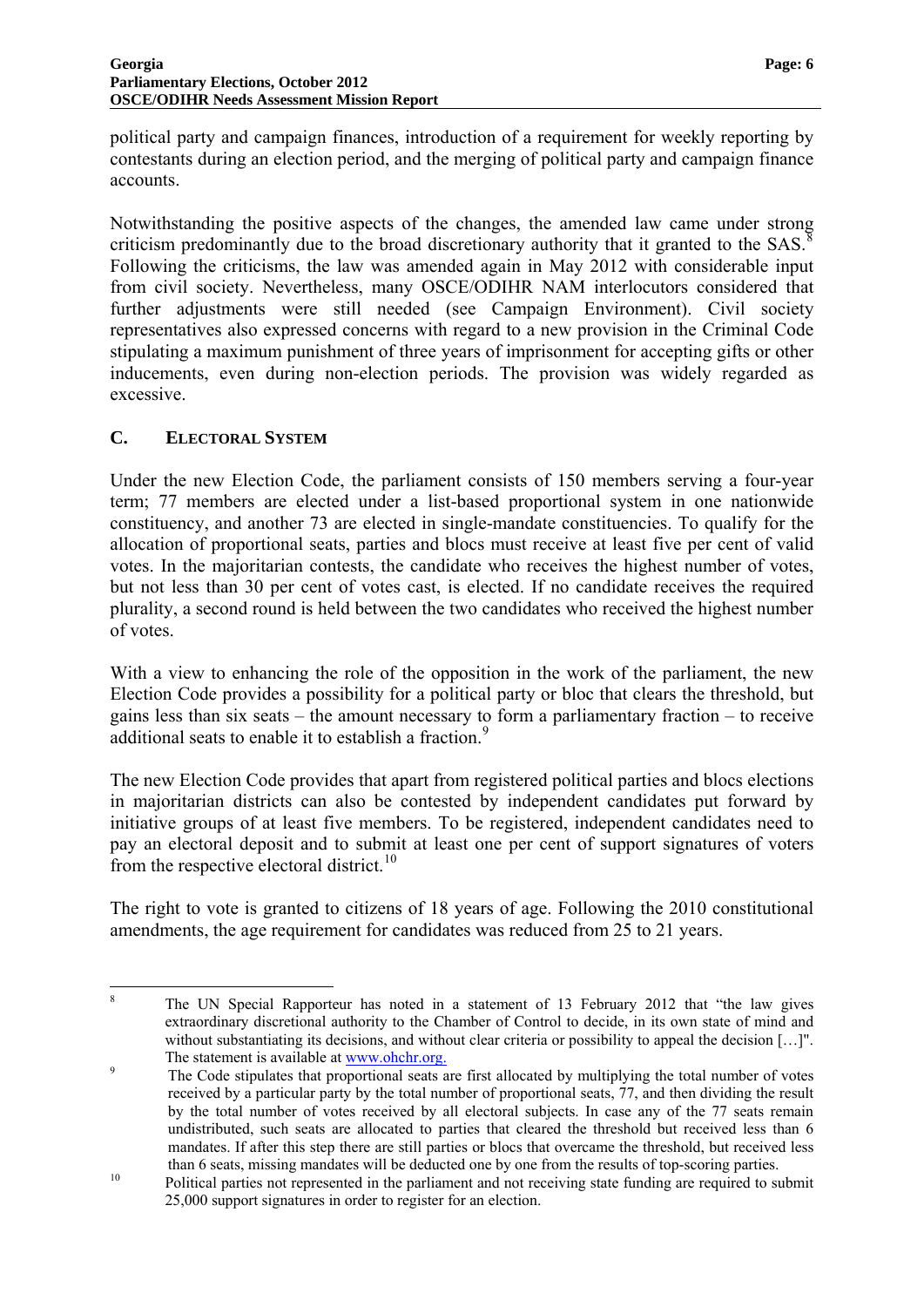political party and campaign finances, introduction of a requirement for weekly reporting by contestants during an election period, and the merging of political party and campaign finance accounts.

Notwithstanding the positive aspects of the changes, the amended law came under strong criticism predominantly due to the broad discretionary authority that it granted to the SAS.<sup>[8](#page-5-4)</sup> Following the criticisms, the law was amended again in May 2012 with considerable input from civil society. Nevertheless, many OSCE/ODIHR NAM interlocutors considered that further adjustments were still needed (see Campaign Environment). Civil society representatives also expressed concerns with regard to a new provision in the Criminal Code stipulating a maximum punishment of three years of imprisonment for accepting gifts or other inducements, even during non-election periods. The provision was widely regarded as excessive.

### <span id="page-6-0"></span>**C. ELECTORAL SYSTEM**

Under the new Election Code, the parliament consists of 150 members serving a four-year term; 77 members are elected under a list-based proportional system in one nationwide constituency, and another 73 are elected in single-mandate constituencies. To qualify for the allocation of proportional seats, parties and blocs must receive at least five per cent of valid votes. In the majoritarian contests, the candidate who receives the highest number of votes, but not less than 30 per cent of votes cast, is elected. If no candidate receives the required plurality, a second round is held between the two candidates who received the highest number of votes.

With a view to enhancing the role of the opposition in the work of the parliament, the new Election Code provides a possibility for a political party or bloc that clears the threshold, but gains less than six seats – the amount necessary to form a parliamentary fraction – to receive additional seats to enable it to establish a fraction.<sup>[9](#page-6-1)</sup>

The new Election Code provides that apart from registered political parties and blocs elections in majoritarian districts can also be contested by independent candidates put forward by initiative groups of at least five members. To be registered, independent candidates need to pay an electoral deposit and to submit at least one per cent of support signatures of voters from the respective electoral district.<sup>[10](#page-6-2)</sup>

The right to vote is granted to citizens of 18 years of age. Following the 2010 constitutional amendments, the age requirement for candidates was reduced from 25 to 21 years.

 $\frac{1}{8}$  The UN Special Rapporteur has noted in a statement of 13 February 2012 that "the law gives extraordinary discretional authority to the Chamber of Control to decide, in its own state of mind and without substantiating its decisions, and without clear criteria or possibility to appeal the decision [...]". The statement is available at [www.ohchr.org.](http://www.ohchr.org/)<br>
<sup>9</sup>

<span id="page-6-3"></span><span id="page-6-1"></span>The Code stipulates that proportional seats are first allocated by multiplying the total number of votes received by a particular party by the total number of proportional seats, 77, and then dividing the result by the total number of votes received by all electoral subjects. In case any of the 77 seats remain undistributed, such seats are allocated to parties that cleared the threshold but received less than 6 mandates. If after this step there are still parties or blocs that overcame the threshold, but received less

<span id="page-6-2"></span>than 6 seats, missing mandates will be deducted one by one from the results of top-scoring parties.<br>Political parties not represented in the parliament and not receiving state funding are required to submit 25,000 support signatures in order to register for an election.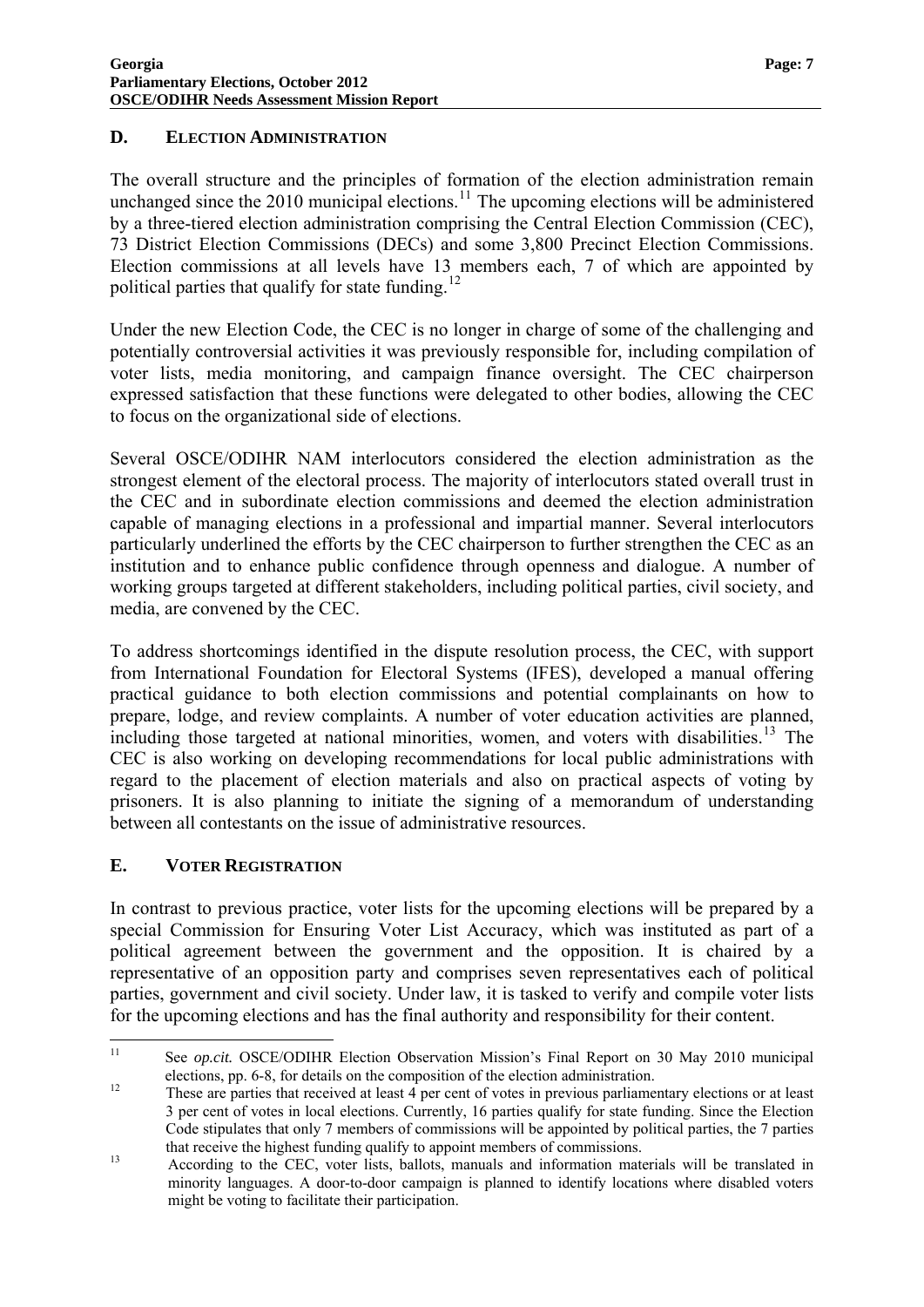#### <span id="page-7-0"></span>**D. ELECTION ADMINISTRATION**

The overall structure and the principles of formation of the election administration remain unchanged since the 2010 municipal elections.<sup>[11](#page-6-3)</sup> The upcoming elections will be administered by a three-tiered election administration comprising the Central Election Commission (CEC), 73 District Election Commissions (DECs) and some 3,800 Precinct Election Commissions. Election commissions at all levels have 13 members each, 7 of which are appointed by political parties that qualify for state funding.<sup>[12](#page-7-2)</sup>

Under the new Election Code, the CEC is no longer in charge of some of the challenging and potentially controversial activities it was previously responsible for, including compilation of voter lists, media monitoring, and campaign finance oversight. The CEC chairperson expressed satisfaction that these functions were delegated to other bodies, allowing the CEC to focus on the organizational side of elections.

Several OSCE/ODIHR NAM interlocutors considered the election administration as the strongest element of the electoral process. The majority of interlocutors stated overall trust in the CEC and in subordinate election commissions and deemed the election administration capable of managing elections in a professional and impartial manner. Several interlocutors particularly underlined the efforts by the CEC chairperson to further strengthen the CEC as an institution and to enhance public confidence through openness and dialogue. A number of working groups targeted at different stakeholders, including political parties, civil society, and media, are convened by the CEC.

To address shortcomings identified in the dispute resolution process, the CEC, with support from International Foundation for Electoral Systems (IFES), developed a manual offering practical guidance to both election commissions and potential complainants on how to prepare, lodge, and review complaints. A number of voter education activities are planned, including those targeted at national minorities, women, and voters with disabilities.<sup>[13](#page-7-3)</sup> The CEC is also working on developing recommendations for local public administrations with regard to the placement of election materials and also on practical aspects of voting by prisoners. It is also planning to initiate the signing of a memorandum of understanding between all contestants on the issue of administrative resources.

# <span id="page-7-1"></span>**E. VOTER REGISTRATION**

In contrast to previous practice, voter lists for the upcoming elections will be prepared by a special Commission for Ensuring Voter List Accuracy, which was instituted as part of a political agreement between the government and the opposition. It is chaired by a representative of an opposition party and comprises seven representatives each of political parties, government and civil society. Under law, it is tasked to verify and compile voter lists for the upcoming elections and has the final authority and responsibility for their content.

 $11$ 11 See *op.cit.* OSCE/ODIHR Election Observation Mission's Final Report on 30 May 2010 municipal

<span id="page-7-4"></span><span id="page-7-2"></span>elections, pp. 6-8, for details on the composition of the election administration.<br><sup>12</sup> These are parties that received at least 4 per cent of votes in previous parliamentary elections or at least 3 per cent of votes in local elections. Currently, 16 parties qualify for state funding. Since the Election Code stipulates that only 7 members of commissions will be appointed by political parties, the 7 parties

<span id="page-7-3"></span>that receive the highest funding qualify to appoint members of commissions.<br>According to the CEC, voter lists, ballots, manuals and information materials will be translated in minority languages. A door-to-door campaign is planned to identify locations where disabled voters might be voting to facilitate their participation.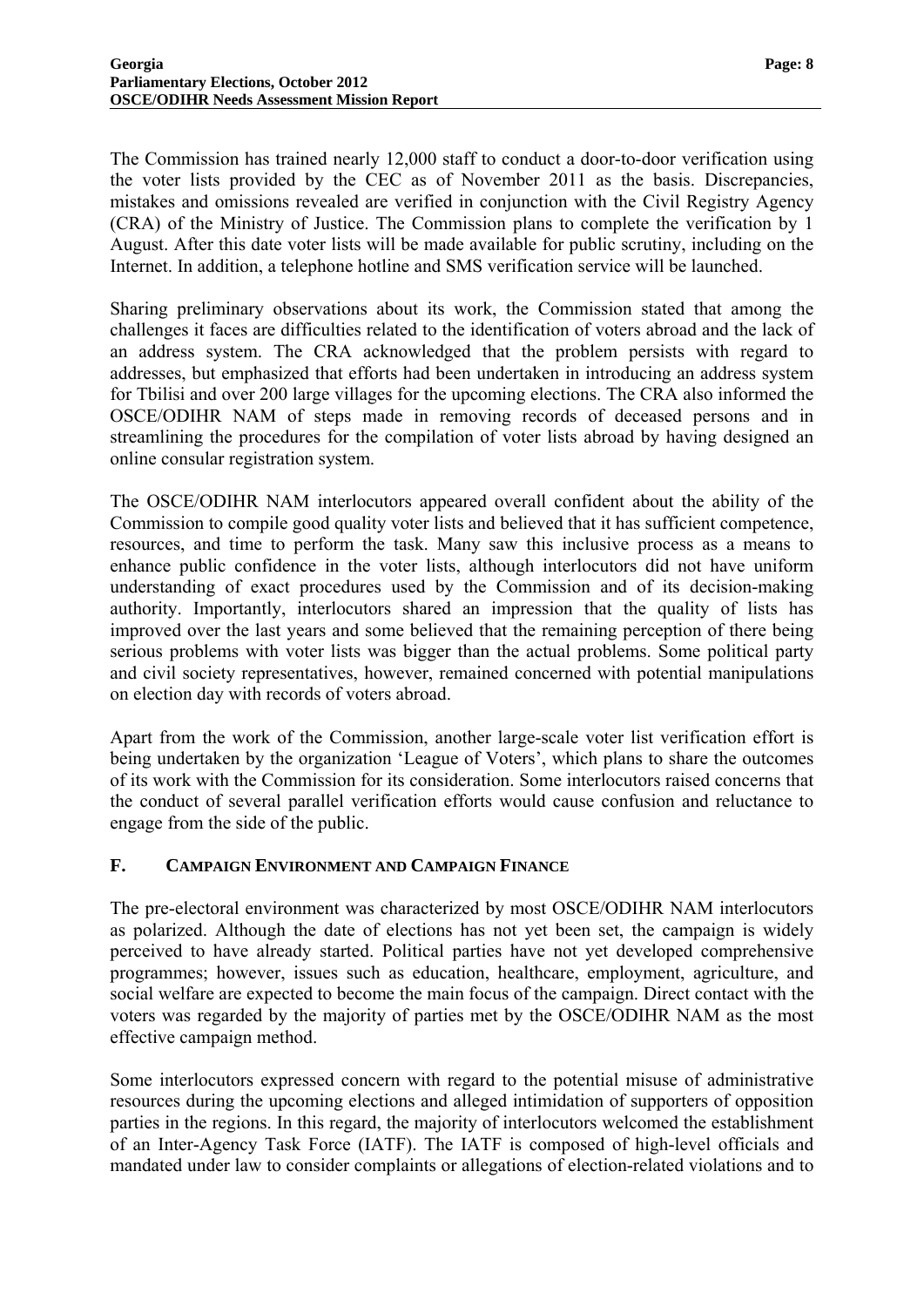The Commission has trained nearly 12,000 staff to conduct a door-to-door verification using the voter lists provided by the CEC as of November 2011 as the basis. Discrepancies, mistakes and omissions revealed are verified in conjunction with the Civil Registry Agency (CRA) of the Ministry of Justice. The Commission plans to complete the verification by 1 August. After this date voter lists will be made available for public scrutiny, including on the Internet. In addition, a telephone hotline and SMS verification service will be launched.

Sharing preliminary observations about its work, the Commission stated that among the challenges it faces are difficulties related to the identification of voters abroad and the lack of an address system. The CRA acknowledged that the problem persists with regard to addresses, but emphasized that efforts had been undertaken in introducing an address system for Tbilisi and over 200 large villages for the upcoming elections. The CRA also informed the OSCE/ODIHR NAM of steps made in removing records of deceased persons and in streamlining the procedures for the compilation of voter lists abroad by having designed an online consular registration system.

The OSCE/ODIHR NAM interlocutors appeared overall confident about the ability of the Commission to compile good quality voter lists and believed that it has sufficient competence, resources, and time to perform the task. Many saw this inclusive process as a means to enhance public confidence in the voter lists, although interlocutors did not have uniform understanding of exact procedures used by the Commission and of its decision-making authority. Importantly, interlocutors shared an impression that the quality of lists has improved over the last years and some believed that the remaining perception of there being serious problems with voter lists was bigger than the actual problems. Some political party and civil society representatives, however, remained concerned with potential manipulations on election day with records of voters abroad.

Apart from the work of the Commission, another large-scale voter list verification effort is being undertaken by the organization 'League of Voters', which plans to share the outcomes of its work with the Commission for its consideration. Some interlocutors raised concerns that the conduct of several parallel verification efforts would cause confusion and reluctance to engage from the side of the public.

# <span id="page-8-0"></span>**F. CAMPAIGN ENVIRONMENT AND CAMPAIGN FINANCE**

The pre-electoral environment was characterized by most OSCE/ODIHR NAM interlocutors as polarized. Although the date of elections has not yet been set, the campaign is widely perceived to have already started. Political parties have not yet developed comprehensive programmes; however, issues such as education, healthcare, employment, agriculture, and social welfare are expected to become the main focus of the campaign. Direct contact with the voters was regarded by the majority of parties met by the OSCE/ODIHR NAM as the most effective campaign method.

Some interlocutors expressed concern with regard to the potential misuse of administrative resources during the upcoming elections and alleged intimidation of supporters of opposition parties in the regions. In this regard, the majority of interlocutors welcomed the establishment of an Inter-Agency Task Force (IATF). The IATF is composed of high-level officials and mandated under law to consider complaints or allegations of election-related violations and to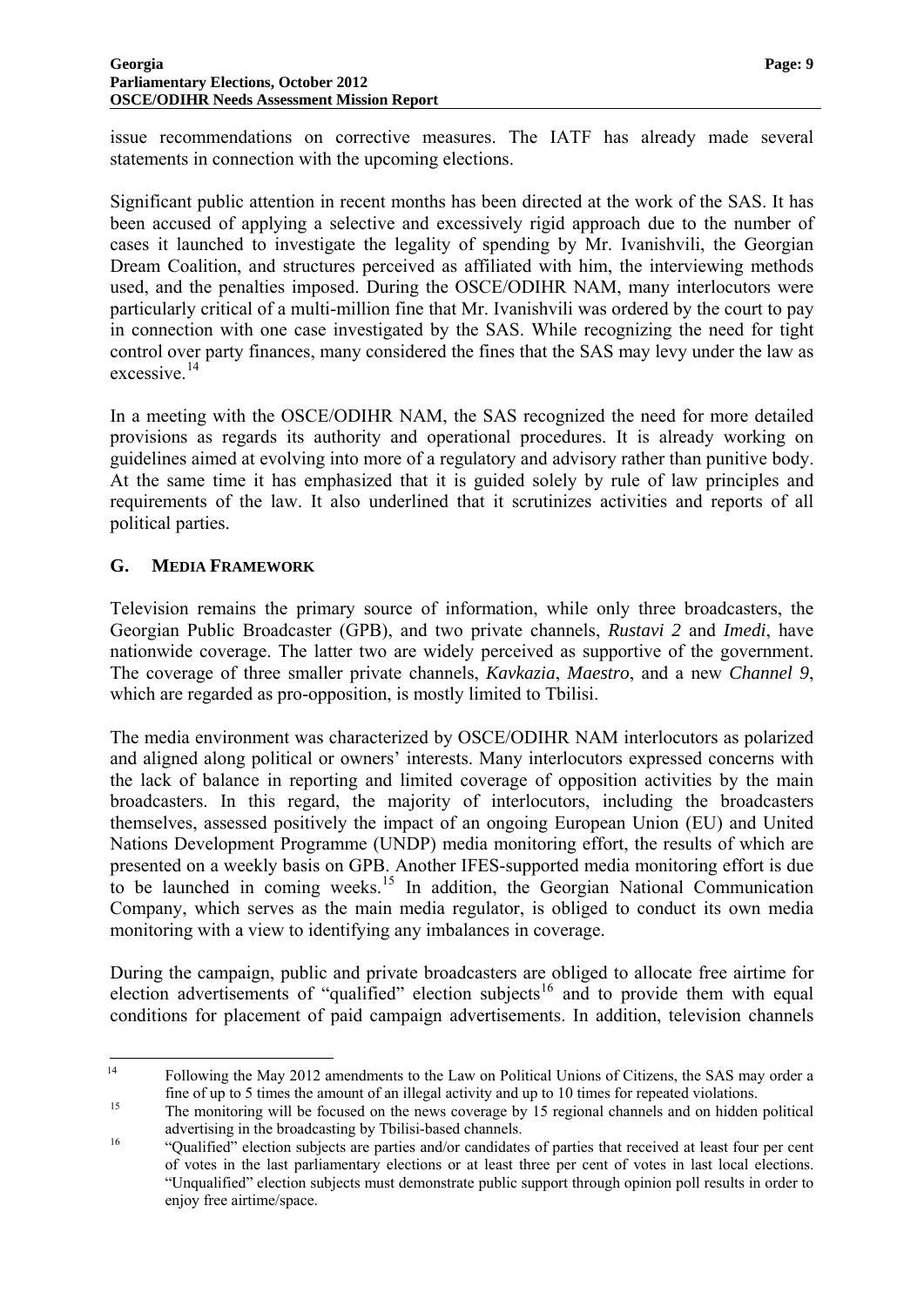issue recommendations on corrective measures. The IATF has already made several statements in connection with the upcoming elections.

Significant public attention in recent months has been directed at the work of the SAS. It has been accused of applying a selective and excessively rigid approach due to the number of cases it launched to investigate the legality of spending by Mr. Ivanishvili, the Georgian Dream Coalition, and structures perceived as affiliated with him, the interviewing methods used, and the penalties imposed. During the OSCE/ODIHR NAM, many interlocutors were particularly critical of a multi-million fine that Mr. Ivanishvili was ordered by the court to pay in connection with one case investigated by the SAS. While recognizing the need for tight control over party finances, many considered the fines that the SAS may levy under the law as excessive.<sup>[14](#page-7-4)</sup>

In a meeting with the OSCE/ODIHR NAM, the SAS recognized the need for more detailed provisions as regards its authority and operational procedures. It is already working on guidelines aimed at evolving into more of a regulatory and advisory rather than punitive body. At the same time it has emphasized that it is guided solely by rule of law principles and requirements of the law. It also underlined that it scrutinizes activities and reports of all political parties.

#### <span id="page-9-0"></span>**G. MEDIA FRAMEWORK**

Television remains the primary source of information, while only three broadcasters, the Georgian Public Broadcaster (GPB), and two private channels, *Rustavi 2* and *Imedi*, have nationwide coverage. The latter two are widely perceived as supportive of the government. The coverage of three smaller private channels, *Kavkazia*, *Maestro*, and a new *Channel 9*, which are regarded as pro-opposition, is mostly limited to Tbilisi.

The media environment was characterized by OSCE/ODIHR NAM interlocutors as polarized and aligned along political or owners' interests. Many interlocutors expressed concerns with the lack of balance in reporting and limited coverage of opposition activities by the main broadcasters. In this regard, the majority of interlocutors, including the broadcasters themselves, assessed positively the impact of an ongoing European Union (EU) and United Nations Development Programme (UNDP) media monitoring effort, the results of which are presented on a weekly basis on GPB. Аnother IFES-supported media monitoring effort is due to be launched in coming weeks.<sup>[15](#page-9-1)</sup> In addition, the Georgian National Communication Company, which serves as the main media regulator, is obliged to conduct its own media monitoring with a view to identifying any imbalances in coverage.

During the campaign, public and private broadcasters are obliged to allocate free airtime for election advertisements of "qualified" election subjects<sup>[16](#page-9-2)</sup> and to provide them with equal conditions for placement of paid campaign advertisements. In addition, television channels

<span id="page-9-3"></span> $14\,$ 14 Following the May 2012 amendments to the Law on Political Unions of Citizens, the SAS may order a fine of up to 5 times the amount of an illegal activity and up to 10 times for repeated violations.<br>The monitoring will be focused on the news coverage by 15 regional channels and on hidden political

<span id="page-9-1"></span>advertising in the broadcasting by Tbilisi-based channels.<br>
"Qualified" election subjects are parties and/or candidates of parties that received at least four per cent

<span id="page-9-2"></span>of votes in the last parliamentary elections or at least three per cent of votes in last local elections. "Unqualified" election subjects must demonstrate public support through opinion poll results in order to enjoy free airtime/space.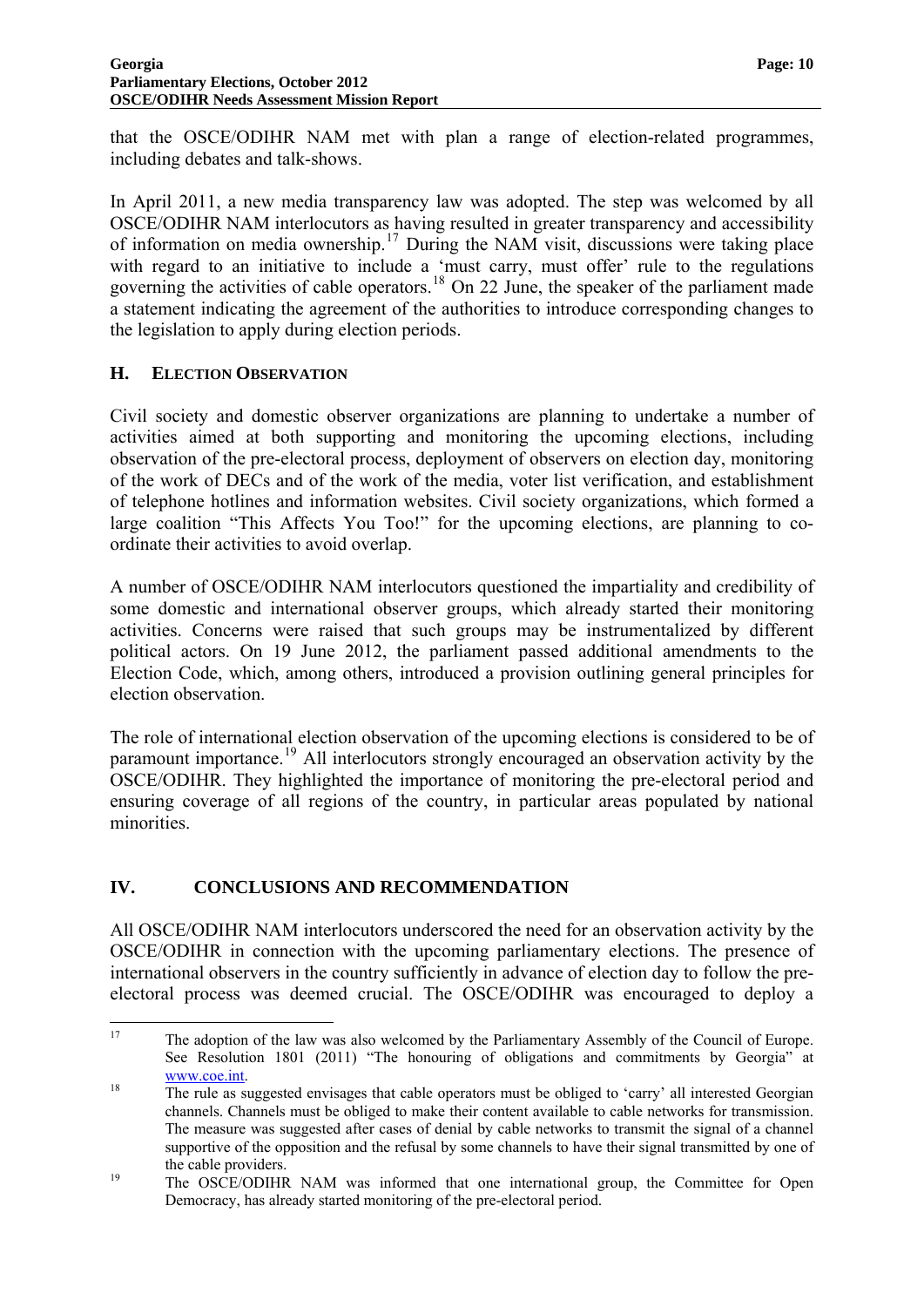that the OSCE/ODIHR NAM met with plan a range of election-related programmes, including debates and talk-shows.

In April 2011, a new media transparency law was adopted. The step was welcomed by all OSCE/ODIHR NAM interlocutors as having resulted in greater transparency and accessibility of information on media ownership.<sup>[17](#page-9-3)</sup> During the NAM visit, discussions were taking place with regard to an initiative to include a 'must carry, must offer' rule to the regulations governing the activities of cable operators.<sup>[18](#page-10-2)</sup> On 22 June, the speaker of the parliament made a statement indicating the agreement of the authorities to introduce corresponding changes to the legislation to apply during election periods.

### <span id="page-10-0"></span>**H. ELECTION OBSERVATION**

Civil society and domestic observer organizations are planning to undertake a number of activities aimed at both supporting and monitoring the upcoming elections, including observation of the pre-electoral process, deployment of observers on election day, monitoring of the work of DECs and of the work of the media, voter list verification, and establishment of telephone hotlines and information websites. Civil society organizations, which formed a large coalition "This Affects You Too!" for the upcoming elections, are planning to coordinate their activities to avoid overlap.

A number of OSCE/ODIHR NAM interlocutors questioned the impartiality and credibility of some domestic and international observer groups, which already started their monitoring activities. Concerns were raised that such groups may be instrumentalized by different political actors. On 19 June 2012, the parliament passed additional amendments to the Election Code, which, among others, introduced a provision outlining general principles for election observation.

The role of international election observation of the upcoming elections is considered to be of paramount importance.[19](#page-10-3) All interlocutors strongly encouraged an observation activity by the OSCE/ODIHR. They highlighted the importance of monitoring the pre-electoral period and ensuring coverage of all regions of the country, in particular areas populated by national minorities.

#### <span id="page-10-1"></span>**IV. CONCLUSIONS AND RECOMMENDATION**

All OSCE/ODIHR NAM interlocutors underscored the need for an observation activity by the OSCE/ODIHR in connection with the upcoming parliamentary elections. The presence of international observers in the country sufficiently in advance of election day to follow the preelectoral process was deemed crucial. The OSCE/ODIHR was encouraged to deploy a

 $17$ 17 The adoption of the law was also welcomed by the Parliamentary Assembly of the Council of Europe. See Resolution 1801 (2011) "The honouring of obligations and commitments by Georgia" at  $\frac{www.coe.int}{18}$  The rule as suggested envisages that cable operators must be obliged to 'carry' all interested Georgian

<span id="page-10-2"></span>channels. Channels must be obliged to make their content available to cable networks for transmission. The measure was suggested after cases of denial by cable networks to transmit the signal of a channel supportive of the opposition and the refusal by some channels to have their signal transmitted by one of the cable providers.<br>
19 The OSCE/ODIHR NAM was informed that one international group, the Committee for Open

<span id="page-10-3"></span>Democracy, has already started monitoring of the pre-electoral period.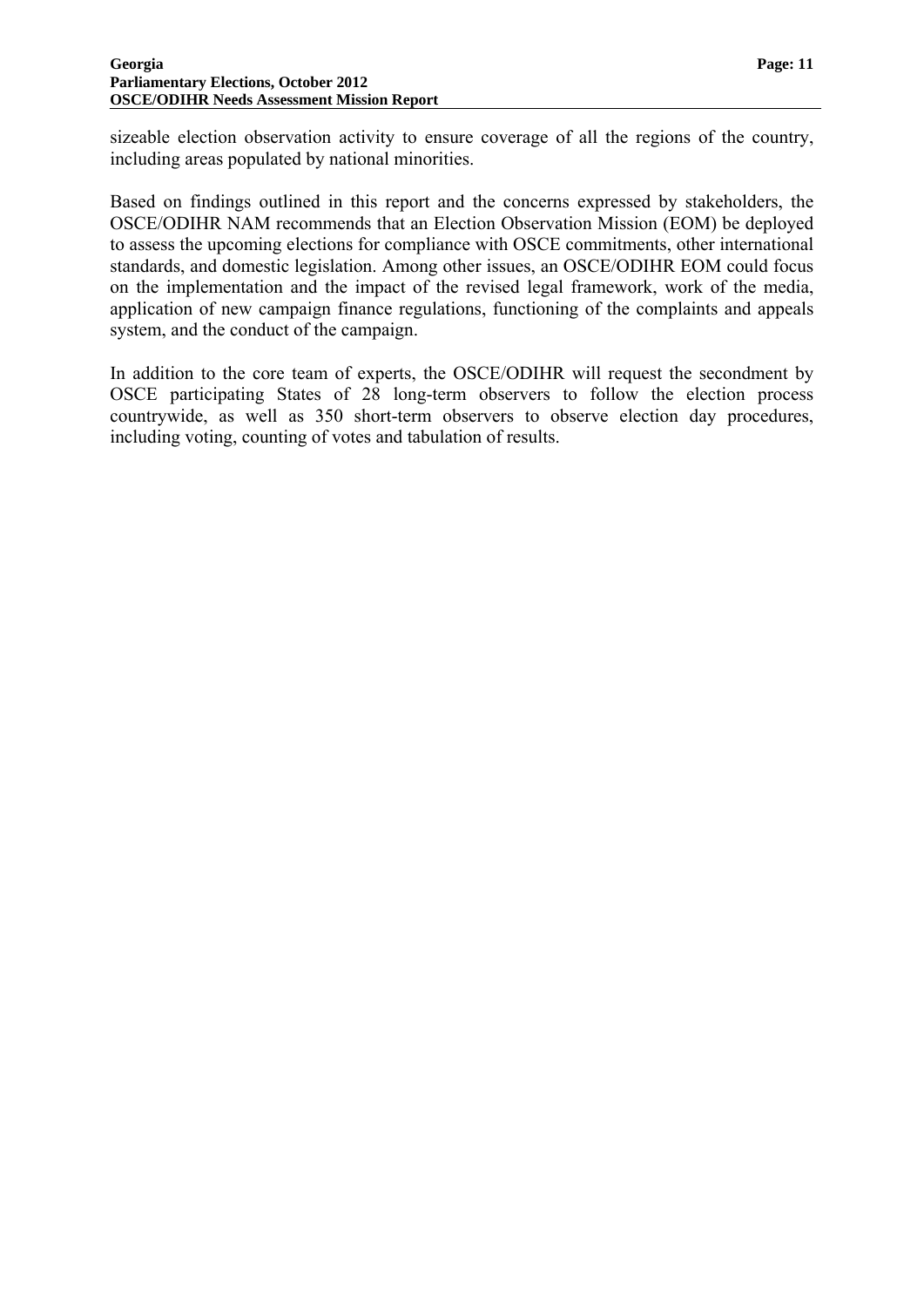sizeable election observation activity to ensure coverage of all the regions of the country, including areas populated by national minorities.

Based on findings outlined in this report and the concerns expressed by stakeholders, the OSCE/ODIHR NAM recommends that an Election Observation Mission (EOM) be deployed to assess the upcoming elections for compliance with OSCE commitments, other international standards, and domestic legislation. Among other issues, an OSCE/ODIHR EOM could focus on the implementation and the impact of the revised legal framework, work of the media, application of new campaign finance regulations, functioning of the complaints and appeals system, and the conduct of the campaign.

In addition to the core team of experts, the OSCE/ODIHR will request the secondment by OSCE participating States of 28 long-term observers to follow the election process countrywide, as well as 350 short-term observers to observe election day procedures, including voting, counting of votes and tabulation of results.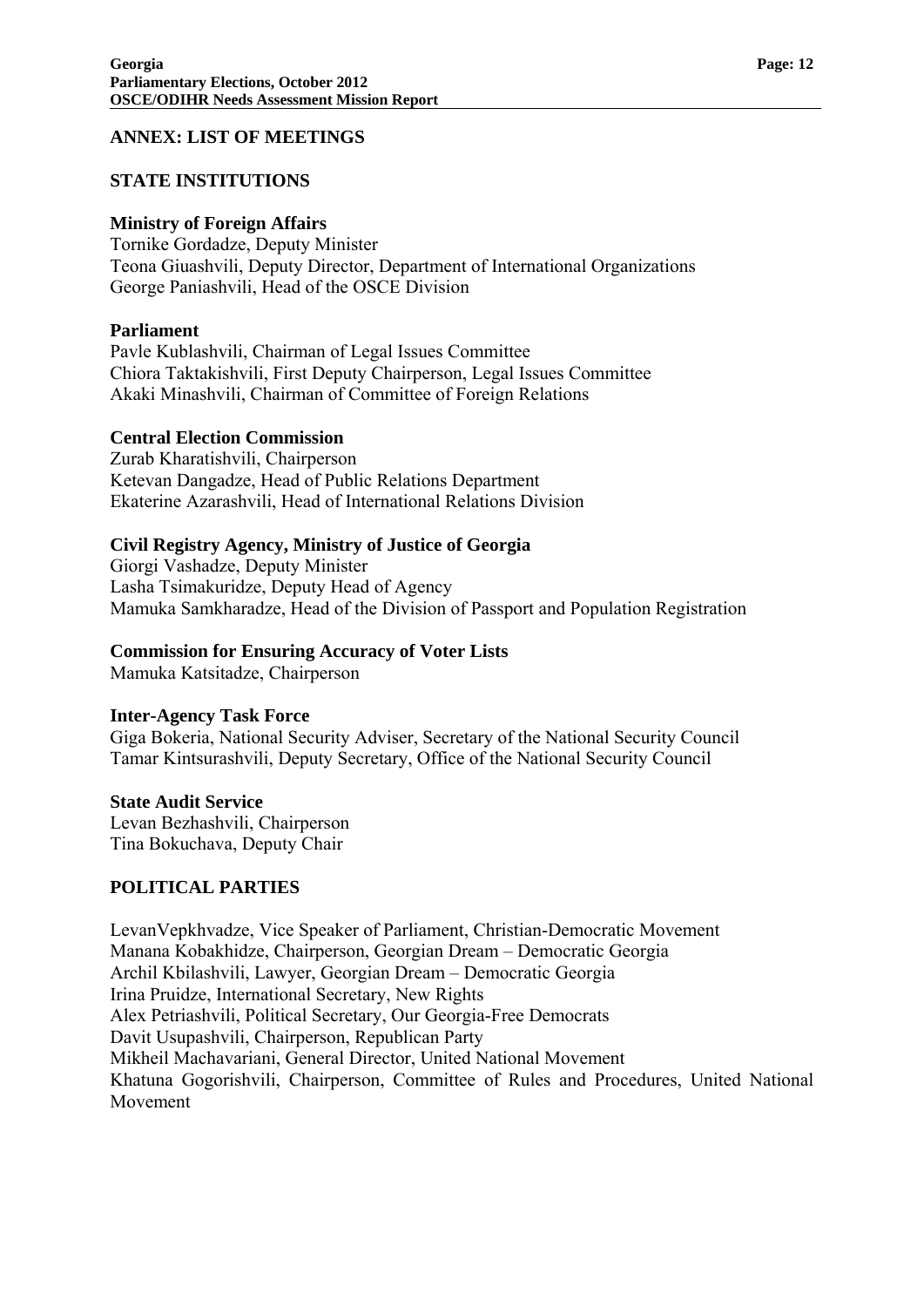#### <span id="page-12-0"></span>**ANNEX: LIST OF MEETINGS**

#### **STATE INSTITUTIONS**

#### **Ministry of Foreign Affairs**

Tornike Gordadze, Deputy Minister Teona Giuashvili, Deputy Director, Department of International Organizations George Paniashvili, Head of the OSCE Division

#### **Parliament**

Pavle Kublashvili, Chairman of Legal Issues Committee Chiora Taktakishvili, First Deputy Chairperson, Legal Issues Committee Akaki Minashvili, Chairman of Committee of Foreign Relations

#### **Central Election Commission**

Zurab Kharatishvili, Chairperson Ketevan Dangadze, Head of Public Relations Department Ekaterine Azarashvili, Head of International Relations Division

#### **Civil Registry Agency, Ministry of Justice of Georgia**

Giorgi Vashadze, Deputy Minister Lasha Tsimakuridze, Deputy Head of Agency Mamuka Samkharadze, Head of the Division of Passport and Population Registration

#### **Commission for Ensuring Accuracy of Voter Lists**

Mamuka Katsitadze, Chairperson

#### **Inter-Agency Task Force**

Giga Bokeria, National Security Adviser, Secretary of the National Security Council Tamar Kintsurashvili, Deputy Secretary, Office of the National Security Council

#### **State Audit Service**

Levan Bezhashvili, Chairperson Tina Bokuchava, Deputy Chair

#### **POLITICAL PARTIES**

LevanVepkhvadze, Vice Speaker of Parliament, Christian-Democratic Movement Manana Kobakhidze, Chairperson, Georgian Dream – Democratic Georgia Archil Kbilashvili, Lawyer, Georgian Dream – Democratic Georgia Irina Pruidze, International Secretary, New Rights Alex Petriashvili, Political Secretary, Our Georgia-Free Democrats Davit Usupashvili, Chairperson, Republican Party Mikheil Machavariani, General Director, United National Movement Khatuna Gogorishvili, Chairperson, Committee of Rules and Procedures, United National Movement